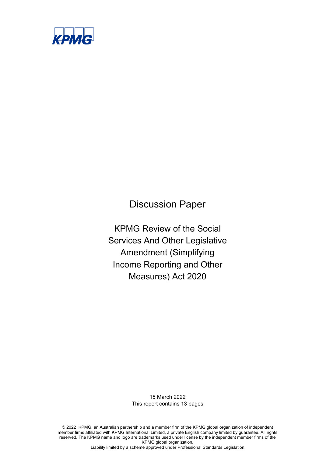

Discussion Paper

KPMG Review of the Social Services And Other Legislative Amendment (Simplifying Income Reporting and Other Measures) Act 2020

> 15 March 2022 This report contains 13 pages

© 2022 KPMG, an Australian partnership and a member firm of the KPMG global organization of independent member firms affiliated with KPMG International Limited, a private English company limited by guarantee. All rights reserved. The KPMG name and logo are trademarks used under license by the independent member firms of the KPMG global organization.

Liability limited by a scheme approved under Professional Standards Legislation.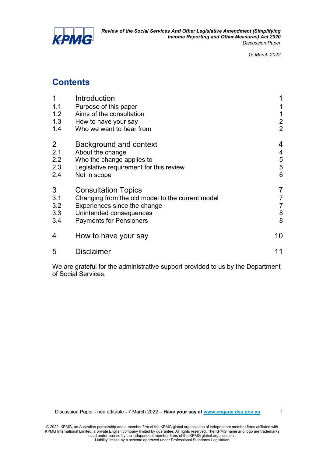

i

## **Contents**

| 1              | Introduction                                     |                |
|----------------|--------------------------------------------------|----------------|
| 1.1            | Purpose of this paper                            |                |
| 1.2            | Aims of the consultation                         | 1              |
| 1.3            | How to have your say                             | $\overline{2}$ |
| 1.4            | Who we want to hear from                         | $\overline{2}$ |
| $\overline{2}$ | <b>Background and context</b>                    | 4              |
| 2.1            | About the change                                 | 4              |
| 2.2            | Who the change applies to                        | $\frac{5}{5}$  |
| 2.3            | Legislative requirement for this review          |                |
| 2.4            | Not in scope                                     | 6              |
| 3              | <b>Consultation Topics</b>                       | 7              |
| 3.1            | Changing from the old model to the current model | 7              |
| 3.2            | Experiences since the change                     | $\overline{7}$ |
| 3.3            | Unintended consequences                          | $\bf 8$        |
| 3.4            | <b>Payments for Pensioners</b>                   | 8              |
| 4              | How to have your say                             | 10             |
| 5              | <b>Disclaimer</b>                                | 11             |
|                |                                                  |                |

We are grateful for the administrative support provided to us by the Department of Social Services.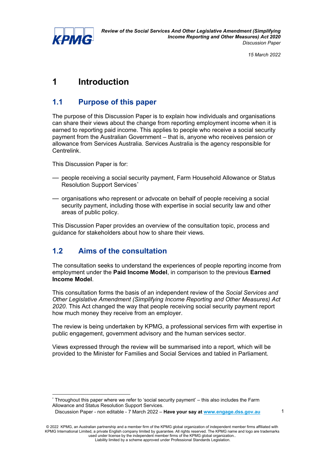

1

# **1 Introduction**

## **1.1 Purpose of this paper**

The purpose of this Discussion Paper is to explain how individuals and organisations can share their views about the change from reporting employment income when it is earned to reporting paid income. This applies to people who receive a social security payment from the Australian Government – that is, anyone who receives pension or allowance from Services Australia. Services Australia is the agency responsible for Centrelink.

This Discussion Paper is for:

- people receiving a social security payment, Farm Household Allowance or Status Resolution Support Services[\\*](#page-2-0)
- organisations who represent or advocate on behalf of people receiving a social security payment, including those with expertise in social security law and other areas of public policy.

This Discussion Paper provides an overview of the consultation topic, process and guidance for stakeholders about how to share their views.

## **1.2 Aims of the consultation**

The consultation seeks to understand the experiences of people reporting income from employment under the **Paid Income Model**, in comparison to the previous **Earned Income Model**.

This consultation forms the basis of an independent review of the *Social Services and Other Legislative Amendment (Simplifying Income Reporting and Other Measures) Act 2020*. This Act changed the way that people receiving social security payment report how much money they receive from an employer.

The review is being undertaken by KPMG, a professional services firm with expertise in public engagement, government advisory and the human services sector.

Views expressed through the review will be summarised into a report, which will be provided to the Minister for Families and Social Services and tabled in Parliament.

<span id="page-2-0"></span>Throughout this paper where we refer to 'social security payment' – this also includes the Farm Allowance and Status Resolution Support Services.

Discussion Paper - non editable - 7 March 2022 – **Have your say at [www.engage.dss.gov.au](http://www.engage.dss.gov.au/)**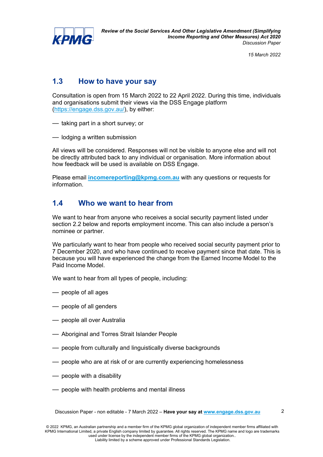

2

## **1.3 How to have your say**

Consultation is open from 15 March 2022 to 22 April 2022. During this time, individuals and organisations submit their views via the DSS Engage platform [\(https://engage.dss.gov.au/\)](https://engage.dss.gov.au/), by either:

— taking part in a short survey; or

— lodging a written submission

All views will be considered. Responses will not be visible to anyone else and will not be directly attributed back to any individual or organisation. More information about how feedback will be used is available on DSS Engage.

Please email **[incomereporting@kpmg.com.au](mailto:au-fmincomereporting@kpmg.com.au)** with any questions or requests for information.

### **1.4 Who we want to hear from**

We want to hear from anyone who receives a social security payment listed under section 2.2 below and reports employment income. This can also include a person's nominee or partner.

We particularly want to hear from people who received social security payment prior to 7 December 2020, and who have continued to receive payment since that date. This is because you will have experienced the change from the Earned Income Model to the Paid Income Model.

We want to hear from all types of people, including:

- people of all ages
- people of all genders
- people all over Australia
- Aboriginal and Torres Strait Islander People
- people from culturally and linguistically diverse backgrounds
- people who are at risk of or are currently experiencing homelessness
- people with a disability
- people with health problems and mental illness

Discussion Paper - non editable - 7 March 2022 – **Have your say at [www.engage.dss.gov.au](http://www.engage.dss.gov.au/)**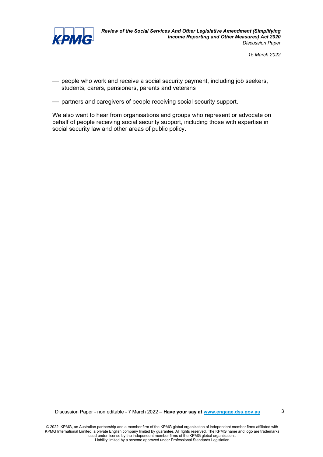

- people who work and receive a social security payment, including job seekers, students, carers, pensioners, parents and veterans
- partners and caregivers of people receiving social security support.

We also want to hear from organisations and groups who represent or advocate on behalf of people receiving social security support, including those with expertise in social security law and other areas of public policy.

Discussion Paper - non editable - 7 March 2022 – **Have your say at [www.engage.dss.gov.au](http://www.engage.dss.gov.au/)**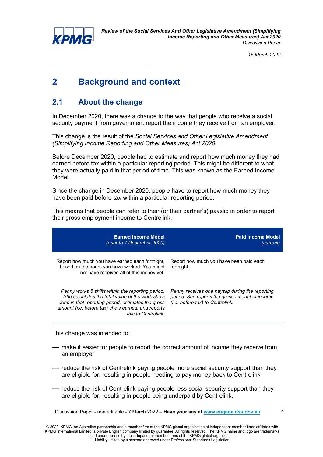

# **2 Background and context**

## **2.1 About the change**

In December 2020, there was a change to the way that people who receive a social security payment from government report the income they receive from an employer.

This change is the result of the *Social Services and Other Legislative Amendment (Simplifying Income Reporting and Other Measures) Act 2020*.

Before December 2020, people had to estimate and report how much money they had earned before tax within a particular reporting period. This might be different to what they were actually paid in that period of time. This was known as the Earned Income Model.

Since the change in December 2020, people have to report how much money they have been paid before tax within a particular reporting period.

This means that people can refer to their (or their partner's) payslip in order to report their gross employment income to Centrelink.

| <b>Earned Income Model</b><br>(prior to 7 December 2020)                                                                                                                                                                                 | <b>Paid Income Model</b><br>(current)                                                                                                        |
|------------------------------------------------------------------------------------------------------------------------------------------------------------------------------------------------------------------------------------------|----------------------------------------------------------------------------------------------------------------------------------------------|
| Report how much you have earned each fortnight,<br>based on the hours you have worked. You might<br>not have received all of this money yet.                                                                                             | Report how much you have been paid each<br>fortnight.                                                                                        |
| Penny works 5 shifts within the reporting period.<br>She calculates the total value of the work she's<br>done in that reporting period, estimates the gross<br>amount (i.e. before tax) she's earned, and reports<br>this to Centrelink. | Penny receives one payslip during the reporting<br>period. She reports the gross amount of income<br><i>(i.e. before tax) to Centrelink.</i> |

This change was intended to:

- make it easier for people to report the correct amount of income they receive from an employer
- reduce the risk of Centrelink paying people more social security support than they are eligible for, resulting in people needing to pay money back to Centrelink
- reduce the risk of Centrelink paying people less social security support than they are eligible for, resulting in people being underpaid by Centrelink.

Discussion Paper - non editable - 7 March 2022 – **Have your say at [www.engage.dss.gov.au](http://www.engage.dss.gov.au/)**

4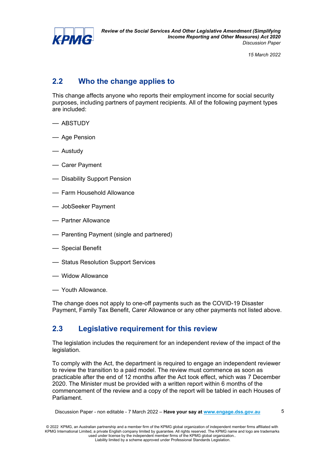

## **2.2 Who the change applies to**

This change affects anyone who reports their employment income for social security purposes, including partners of payment recipients. All of the following payment types are included:

- ABSTUDY
- Age Pension
- Austudy
- Carer Payment
- Disability Support Pension
- Farm Household Allowance
- JobSeeker Payment
- Partner Allowance
- Parenting Payment (single and partnered)
- Special Benefit
- Status Resolution Support Services
- Widow Allowance
- Youth Allowance.

The change does not apply to one-off payments such as the COVID-19 Disaster Payment, Family Tax Benefit, Carer Allowance or any other payments not listed above.

### **2.3 Legislative requirement for this review**

The legislation includes the requirement for an independent review of the impact of the legislation.

To comply with the Act, the department is required to engage an independent reviewer to review the transition to a paid model. The review must commence as soon as practicable after the end of 12 months after the Act took effect, which was 7 December 2020. The Minister must be provided with a written report within 6 months of the commencement of the review and a copy of the report will be tabled in each Houses of Parliament.

Discussion Paper - non editable - 7 March 2022 – **Have your say at [www.engage.dss.gov.au](http://www.engage.dss.gov.au/)**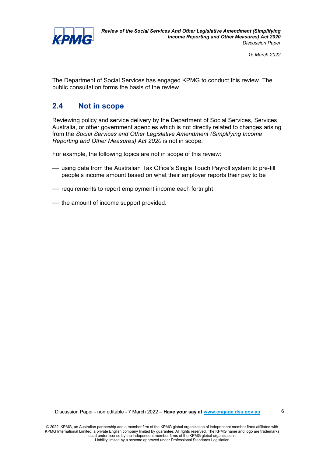

The Department of Social Services has engaged KPMG to conduct this review. The public consultation forms the basis of the review.

### **2.4 Not in scope**

Reviewing policy and service delivery by the Department of Social Services, Services Australia, or other government agencies which is not directly related to changes arising from the *Social Services and Other Legislative Amendment (Simplifying Income Reporting and Other Measures) Act 2020* is not in scope.

For example, the following topics are not in scope of this review:

- using data from the Australian Tax Office's Single Touch Payroll system to pre-fill people's income amount based on what their employer reports their pay to be
- requirements to report employment income each fortnight
- the amount of income support provided.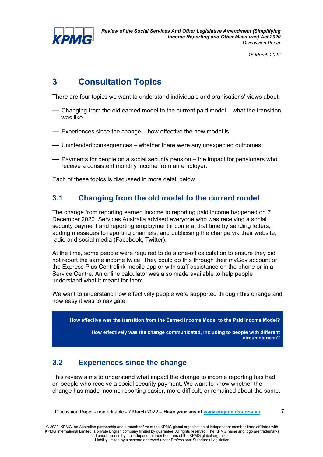

*Review of the Social Services And Other Legislative Amendment (Simplifying Income Reporting and Other Measures) Act 2020 Discussion Paper*

*15 March 2022*

# **3 Consultation Topics**

There are four topics we want to understand individuals and oranisations' views about:

- Changing from the old earned model to the current paid model what the transition was like
- Experiences since the change how effective the new model is
- Unintended consequences whether there were any unexpected outcomes
- Payments for people on a social security pension the impact for pensioners who receive a consistent monthly income from an employer.

Each of these topics is discussed in more detail below.

## **3.1 Changing from the old model to the current model**

The change from reporting earned income to reporting paid income happened on 7 December 2020. Services Australia advised everyone who was receiving a social security payment and reporting employment income at that time by sending letters, adding messages to reporting channels, and publicising the change via their website, radio and social media (Facebook, Twitter).

At the time, some people were required to do a one-off calculation to ensure they did not report the same income twice. They could do this through their myGov account or the Express Plus Centrelink mobile app or with staff assistance on the phone or in a Service Centre. An online calculator was also made available to help people understand what it meant for them.

We want to understand how effectively people were supported through this change and how easy it was to navigate.



## **3.2 Experiences since the change**

This review aims to understand what impact the change to income reporting has had on people who receive a social security payment. We want to know whether the change has made income reporting easier, more difficult, or remained about the same.

Discussion Paper - non editable - 7 March 2022 – **Have your say at [www.engage.dss.gov.au](http://www.engage.dss.gov.au/)**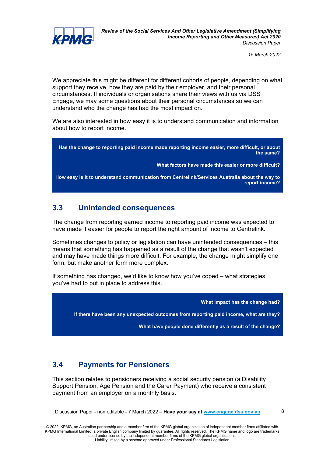

We appreciate this might be different for different cohorts of people, depending on what support they receive, how they are paid by their employer, and their personal circumstances. If individuals or organisations share their views with us via DSS Engage, we may some questions about their personal circumstances so we can understand who the change has had the most impact on.

We are also interested in how easy it is to understand communication and information about how to report income.

**Has the change to reporting paid income made reporting income easier, more difficult, or about the same?**

**What factors have made this easier or more difficult?**

**How easy is it to understand communication from Centrelink/Services Australia about the way to report income?**

### **3.3 Unintended consequences**

The change from reporting earned income to reporting paid income was expected to have made it easier for people to report the right amount of income to Centrelink.

Sometimes changes to policy or legislation can have unintended consequences – this means that something has happened as a result of the change that wasn't expected and may have made things more difficult. For example, the change might simplify one form, but make another form more complex.

If something has changed, we'd like to know how you've coped – what strategies you've had to put in place to address this.

**What impact has the change had? If there have been any unexpected outcomes from reporting paid income, what are they? What have people done differently as a result of the change?**

## **3.4 Payments for Pensioners**

This section relates to pensioners receiving a social security pension (a Disability Support Pension, Age Pension and the Carer Payment) who receive a consistent payment from an employer on a monthly basis.

Discussion Paper - non editable - 7 March 2022 – **Have your say at [www.engage.dss.gov.au](http://www.engage.dss.gov.au/)**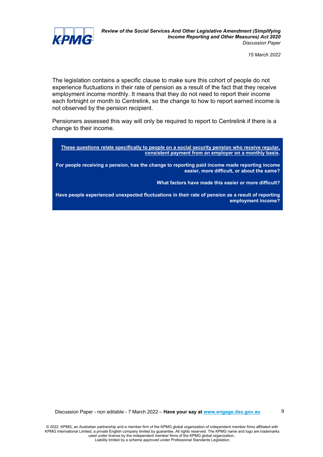

The legislation contains a specific clause to make sure this cohort of people do not experience fluctuations in their rate of pension as a result of the fact that they receive employment income monthly. It means that they do not need to report their income each fortnight or month to Centrelink, so the change to how to report earned income is not observed by the pension recipient.

Pensioners assessed this way will only be required to report to Centrelink if there is a change to their income.

**These questions relate specifically to people on a social security pension who receive regular, consistent payment from an employer on a monthly basis.**

**For people receiving a pension, has the change to reporting paid income made reporting income easier, more difficult, or about the same?**

**What factors have made this easier or more difficult?**

**Have people experienced unexpected fluctuations in their rate of pension as a result of reporting employment income?**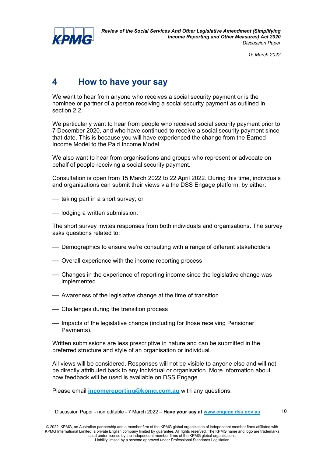

## **4 How to have your say**

We want to hear from anyone who receives a social security payment or is the nominee or partner of a person receiving a social security payment as outlined in section 2.2.

We particularly want to hear from people who received social security payment prior to 7 December 2020, and who have continued to receive a social security payment since that date. This is because you will have experienced the change from the Earned Income Model to the Paid Income Model.

We also want to hear from organisations and groups who represent or advocate on behalf of people receiving a social security payment.

Consultation is open from 15 March 2022 to 22 April 2022. During this time, individuals and organisations can submit their views via the DSS Engage platform, by either:

- taking part in a short survey; or
- lodging a written submission.

The short survey invites responses from both individuals and organisations. The survey asks questions related to:

- Demographics to ensure we're consulting with a range of different stakeholders
- Overall experience with the income reporting process
- Changes in the experience of reporting income since the legislative change was implemented
- Awareness of the legislative change at the time of transition
- Challenges during the transition process
- Impacts of the legislative change (including for those receiving Pensioner Payments).

Written submissions are less prescriptive in nature and can be submitted in the preferred structure and style of an organisation or individual.

All views will be considered. Responses will not be visible to anyone else and will not be directly attributed back to any individual or organisation. More information about how feedback will be used is available on DSS Engage.

Please email **[incomereporting@kpmg.com.au](mailto:incomereporting@kpmg.com.au)** with any questions.

Discussion Paper - non editable - 7 March 2022 – **Have your say at [www.engage.dss.gov.au](http://www.engage.dss.gov.au/)**